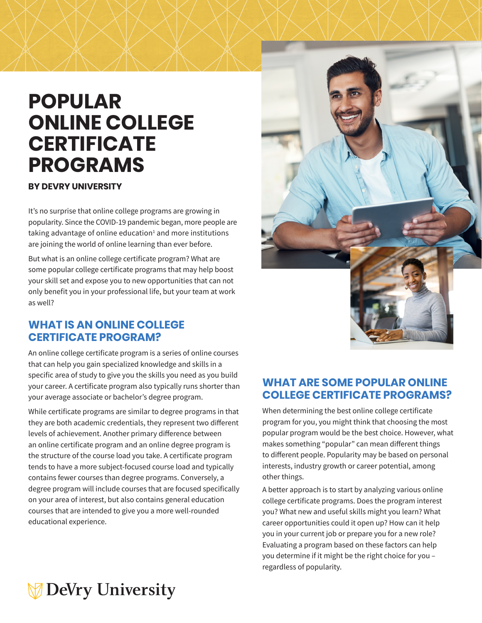# **POPULAR ONLINE COLLEGE CERTIFICATE PROGRAMS**

#### **BY DEVRY UNIVERSITY**

It's no surprise that online college programs are growing in popularity. Since the COVID-19 pandemic began, more people are taking advantage of online education<sup>1</sup> and more institutions are joining the world of online learning than ever before.

But what is an online college certificate program? What are some popular college certificate programs that may help boost your skill set and expose you to new opportunities that can not only benefit you in your professional life, but your team at work as well?

#### **WHAT IS AN ONLINE COLLEGE CERTIFICATE PROGRAM?**

An online college certificate program is a series of online courses that can help you gain specialized knowledge and skills in a specific area of study to give you the skills you need as you build your career. A certificate program also typically runs shorter than your average associate or bachelor's degree program.

While certificate programs are similar to degree programs in that they are both academic credentials, they represent two different levels of achievement. Another primary difference between an online certificate program and an online degree program is the structure of the course load you take. A certificate program tends to have a more subject-focused course load and typically contains fewer courses than degree programs. Conversely, a degree program will include courses that are focused specifically on your area of interest, but also contains general education courses that are intended to give you a more well-rounded educational experience.



### **WHAT ARE SOME POPULAR ONLINE COLLEGE CERTIFICATE PROGRAMS?**

When determining the best online college certificate program for you, you might think that choosing the most popular program would be the best choice. However, what makes something "popular" can mean different things to different people. Popularity may be based on personal interests, industry growth or career potential, among other things.

A better approach is to start by analyzing various online college certificate programs. Does the program interest you? What new and useful skills might you learn? What career opportunities could it open up? How can it help you in your current job or prepare you for a new role? Evaluating a program based on these factors can help you determine if it might be the right choice for you – regardless of popularity.

## **DeVry University**